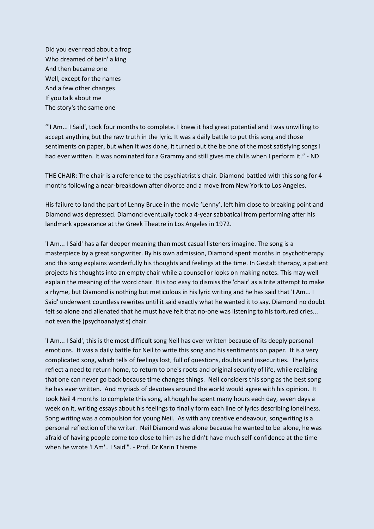Did you ever read about a frog Who dreamed of bein' a king And then became one Well, except for the names And a few other changes If you talk about me The story's the same one

"'I Am... I Said', took four months to complete. I knew it had great potential and I was unwilling to accept anything but the raw truth in the lyric. It was a daily battle to put this song and those sentiments on paper, but when it was done, it turned out the be one of the most satisfying songs I had ever written. It was nominated for a Grammy and still gives me chills when I perform it." - ND

THE CHAIR: The chair is a reference to the psychiatrist's chair. Diamond battled with this song for 4 months following a near-breakdown after divorce and a move from New York to Los Angeles.

His failure to land the part of Lenny Bruce in the movie 'Lenny', left him close to breaking point and Diamond was depressed. Diamond eventually took a 4-year sabbatical from performing after his landmark appearance at the Greek Theatre in Los Angeles in 1972.

'I Am... I Said' has a far deeper meaning than most casual listeners imagine. The song is a masterpiece by a great songwriter. By his own admission, Diamond spent months in psychotherapy and this song explains wonderfully his thoughts and feelings at the time. In Gestalt therapy, a patient projects his thoughts into an empty chair while a counsellor looks on making notes. This may well explain the meaning of the word chair. It is too easy to dismiss the 'chair' as a trite attempt to make a rhyme, but Diamond is nothing but meticulous in his lyric writing and he has said that 'I Am... I Said' underwent countless rewrites until it said exactly what he wanted it to say. Diamond no doubt felt so alone and alienated that he must have felt that no-one was listening to his tortured cries... not even the (psychoanalyst's) chair.

'I Am... I Said', this is the most difficult song Neil has ever written because of its deeply personal emotions. It was a daily battle for Neil to write this song and his sentiments on paper. It is a very complicated song, which tells of feelings lost, full of questions, doubts and insecurities. The lyrics reflect a need to return home, to return to one's roots and original security of life, while realizing that one can never go back because time changes things. Neil considers this song as the best song he has ever written. And myriads of devotees around the world would agree with his opinion. It took Neil 4 months to complete this song, although he spent many hours each day, seven days a week on it, writing essays about his feelings to finally form each line of lyrics describing loneliness. Song writing was a compulsion for young Neil. As with any creative endeavour, songwriting is a personal reflection of the writer. Neil Diamond was alone because he wanted to be alone, he was afraid of having people come too close to him as he didn't have much self-confidence at the time when he wrote 'I Am'.. I Said'". - Prof. Dr Karin Thieme